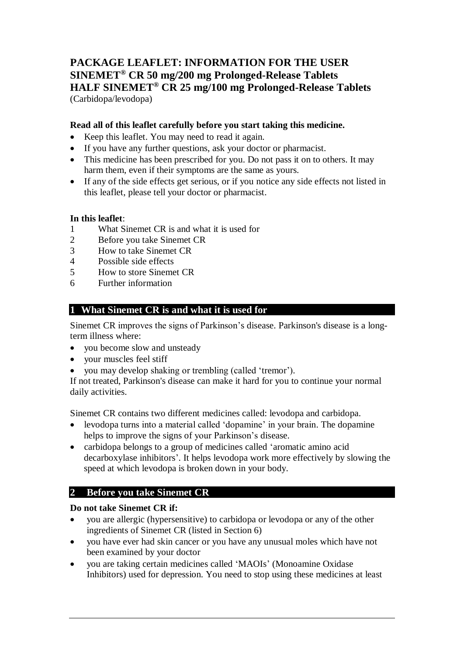# **PACKAGE LEAFLET: INFORMATION FOR THE USER SINEMET® CR 50 mg/200 mg Prolonged-Release Tablets HALF SINEMET® CR 25 mg/100 mg Prolonged-Release Tablets** (Carbidopa/levodopa)

### **Read all of this leaflet carefully before you start taking this medicine.**

- Keep this leaflet. You may need to read it again.
- If you have any further questions, ask your doctor or pharmacist.
- This medicine has been prescribed for you. Do not pass it on to others. It may harm them, even if their symptoms are the same as yours.
- If any of the side effects get serious, or if you notice any side effects not listed in this leaflet, please tell your doctor or pharmacist.

#### **In this leaflet**:

- 1 What Sinemet CR is and what it is used for
- 2 Before you take Sinemet CR
- 3 How to take Sinemet CR
- 4 Possible side effects
- 5 How to store Sinemet CR
- 6 Further information

# **1 What Sinemet CR is and what it is used for**

Sinemet CR improves the signs of Parkinson's disease. Parkinson's disease is a longterm illness where:

- you become slow and unsteady
- your muscles feel stiff
- you may develop shaking or trembling (called 'tremor').

If not treated, Parkinson's disease can make it hard for you to continue your normal daily activities.

Sinemet CR contains two different medicines called: levodopa and carbidopa.

- levodopa turns into a material called 'dopamine' in your brain. The dopamine helps to improve the signs of your Parkinson's disease.
- carbidopa belongs to a group of medicines called 'aromatic amino acid decarboxylase inhibitors'. It helps levodopa work more effectively by slowing the speed at which levodopa is broken down in your body.

# **2 Before you take Sinemet CR**

#### **Do not take Sinemet CR if:**

- you are allergic (hypersensitive) to carbidopa or levodopa or any of the other ingredients of Sinemet CR (listed in Section 6)
- you have ever had skin cancer or you have any unusual moles which have not been examined by your doctor
- you are taking certain medicines called 'MAOIs' (Monoamine Oxidase Inhibitors) used for depression. You need to stop using these medicines at least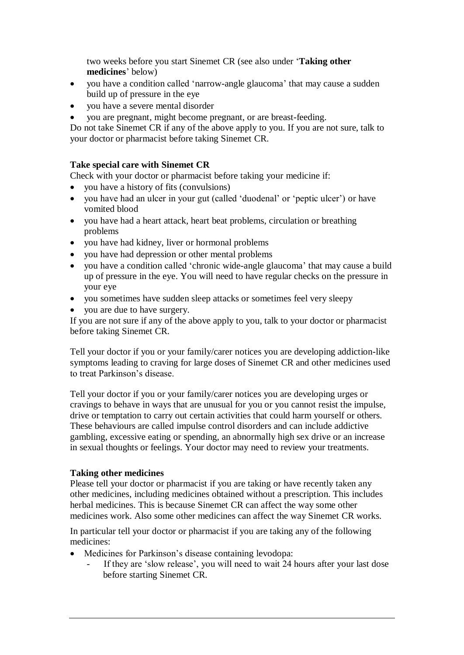two weeks before you start Sinemet CR (see also under '**Taking other medicines**' below)

- you have a condition called 'narrow-angle glaucoma' that may cause a sudden build up of pressure in the eye
- you have a severe mental disorder
- you are pregnant, might become pregnant, or are breast-feeding.

Do not take Sinemet CR if any of the above apply to you. If you are not sure, talk to your doctor or pharmacist before taking Sinemet CR.

#### **Take special care with Sinemet CR**

Check with your doctor or pharmacist before taking your medicine if:

- you have a history of fits (convulsions)
- you have had an ulcer in your gut (called 'duodenal' or 'peptic ulcer') or have vomited blood
- you have had a heart attack, heart beat problems, circulation or breathing problems
- vou have had kidney, liver or hormonal problems
- you have had depression or other mental problems
- you have a condition called 'chronic wide-angle glaucoma' that may cause a build up of pressure in the eye. You will need to have regular checks on the pressure in your eye
- you sometimes have sudden sleep attacks or sometimes feel very sleepy
- you are due to have surgery.

If you are not sure if any of the above apply to you, talk to your doctor or pharmacist before taking Sinemet CR.

Tell your doctor if you or your family/carer notices you are developing addiction-like symptoms leading to craving for large doses of Sinemet CR and other medicines used to treat Parkinson's disease.

Tell your doctor if you or your family/carer notices you are developing urges or cravings to behave in ways that are unusual for you or you cannot resist the impulse, drive or temptation to carry out certain activities that could harm yourself or others. These behaviours are called impulse control disorders and can include addictive gambling, excessive eating or spending, an abnormally high sex drive or an increase in sexual thoughts or feelings. Your doctor may need to review your treatments.

#### **Taking other medicines**

Please tell your doctor or pharmacist if you are taking or have recently taken any other medicines, including medicines obtained without a prescription. This includes herbal medicines. This is because Sinemet CR can affect the way some other medicines work. Also some other medicines can affect the way Sinemet CR works.

In particular tell your doctor or pharmacist if you are taking any of the following medicines:

- Medicines for Parkinson's disease containing levodopa:
	- If they are 'slow release', you will need to wait 24 hours after your last dose before starting Sinemet CR.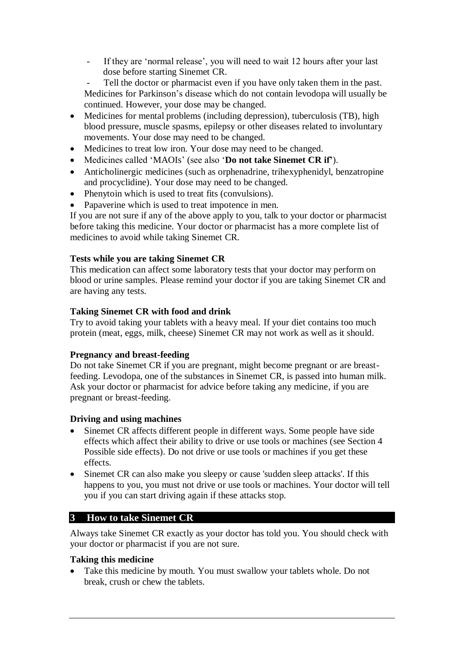If they are 'normal release', you will need to wait 12 hours after your last dose before starting Sinemet CR.

Tell the doctor or pharmacist even if you have only taken them in the past. Medicines for Parkinson's disease which do not contain levodopa will usually be continued. However, your dose may be changed.

- Medicines for mental problems (including depression), tuberculosis (TB), high blood pressure, muscle spasms, epilepsy or other diseases related to involuntary movements. Your dose may need to be changed.
- Medicines to treat low iron. Your dose may need to be changed.
- Medicines called 'MAOIs' (see also '**Do not take Sinemet CR if'**).
- Anticholinergic medicines (such as orphenadrine, trihexyphenidyl, benzatropine and procyclidine). Your dose may need to be changed.
- Phenytoin which is used to treat fits (convulsions).
- Papaverine which is used to treat impotence in men.

If you are not sure if any of the above apply to you, talk to your doctor or pharmacist before taking this medicine. Your doctor or pharmacist has a more complete list of medicines to avoid while taking Sinemet CR.

# **Tests while you are taking Sinemet CR**

This medication can affect some laboratory tests that your doctor may perform on blood or urine samples. Please remind your doctor if you are taking Sinemet CR and are having any tests.

### **Taking Sinemet CR with food and drink**

Try to avoid taking your tablets with a heavy meal. If your diet contains too much protein (meat, eggs, milk, cheese) Sinemet CR may not work as well as it should.

#### **Pregnancy and breast-feeding**

Do not take Sinemet CR if you are pregnant, might become pregnant or are breastfeeding. Levodopa, one of the substances in Sinemet CR, is passed into human milk. Ask your doctor or pharmacist for advice before taking any medicine, if you are pregnant or breast-feeding.

#### **Driving and using machines**

- Sinemet CR affects different people in different ways. Some people have side effects which affect their ability to drive or use tools or machines (see Section 4 Possible side effects). Do not drive or use tools or machines if you get these effects.
- Sinemet CR can also make you sleepy or cause 'sudden sleep attacks'. If this happens to you, you must not drive or use tools or machines. Your doctor will tell you if you can start driving again if these attacks stop.

# **3 How to take Sinemet CR**

Always take Sinemet CR exactly as your doctor has told you. You should check with your doctor or pharmacist if you are not sure.

#### **Taking this medicine**

 Take this medicine by mouth. You must swallow your tablets whole. Do not break, crush or chew the tablets.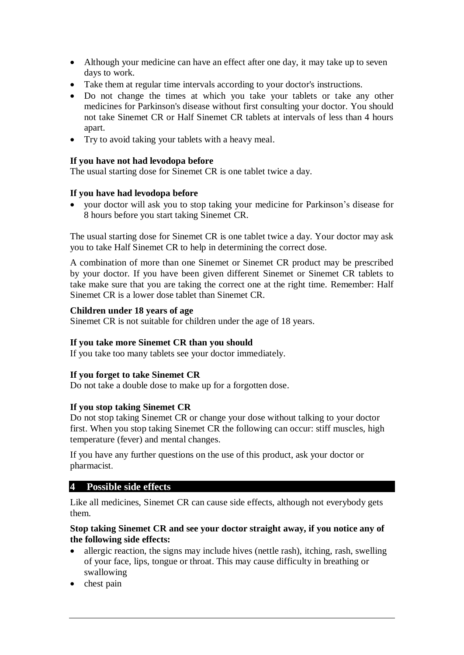- Although your medicine can have an effect after one day, it may take up to seven days to work.
- Take them at regular time intervals according to your doctor's instructions.
- Do not change the times at which you take your tablets or take any other medicines for Parkinson's disease without first consulting your doctor. You should not take Sinemet CR or Half Sinemet CR tablets at intervals of less than 4 hours apart.
- Try to avoid taking your tablets with a heavy meal.

### **If you have not had levodopa before**

The usual starting dose for Sinemet CR is one tablet twice a day.

### **If you have had levodopa before**

 your doctor will ask you to stop taking your medicine for Parkinson's disease for 8 hours before you start taking Sinemet CR.

The usual starting dose for Sinemet CR is one tablet twice a day. Your doctor may ask you to take Half Sinemet CR to help in determining the correct dose.

A combination of more than one Sinemet or Sinemet CR product may be prescribed by your doctor. If you have been given different Sinemet or Sinemet CR tablets to take make sure that you are taking the correct one at the right time. Remember: Half Sinemet CR is a lower dose tablet than Sinemet CR.

### **Children under 18 years of age**

Sinemet CR is not suitable for children under the age of 18 years.

# **If you take more Sinemet CR than you should**

If you take too many tablets see your doctor immediately.

#### **If you forget to take Sinemet CR**

Do not take a double dose to make up for a forgotten dose.

#### **If you stop taking Sinemet CR**

Do not stop taking Sinemet CR or change your dose without talking to your doctor first. When you stop taking Sinemet CR the following can occur: stiff muscles, high temperature (fever) and mental changes.

If you have any further questions on the use of this product, ask your doctor or pharmacist.

# **4 Possible side effects**

Like all medicines, Sinemet CR can cause side effects, although not everybody gets them.

#### **Stop taking Sinemet CR and see your doctor straight away, if you notice any of the following side effects:**

- allergic reaction, the signs may include hives (nettle rash), itching, rash, swelling of your face, lips, tongue or throat. This may cause difficulty in breathing or swallowing
- $\bullet$  chest pain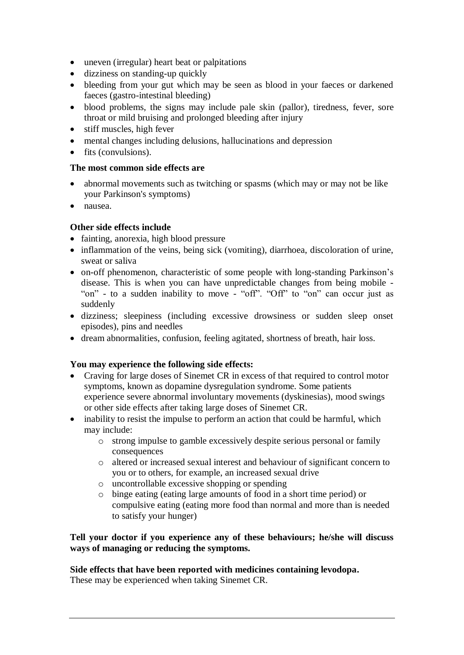- uneven (irregular) heart beat or palpitations
- dizziness on standing-up quickly
- bleeding from your gut which may be seen as blood in your faeces or darkened faeces (gastro-intestinal bleeding)
- blood problems, the signs may include pale skin (pallor), tiredness, fever, sore throat or mild bruising and prolonged bleeding after injury
- stiff muscles, high fever
- mental changes including delusions, hallucinations and depression
- fits (convulsions).

# **The most common side effects are**

- abnormal movements such as twitching or spasms (which may or may not be like your Parkinson's symptoms)
- nausea.

# **Other side effects include**

- fainting, anorexia, high blood pressure
- inflammation of the veins, being sick (vomiting), diarrhoea, discoloration of urine, sweat or saliva
- on-off phenomenon, characteristic of some people with long-standing Parkinson's disease. This is when you can have unpredictable changes from being mobile - "on" - to a sudden inability to move - "off". "Off" to "on" can occur just as suddenly
- dizziness; sleepiness (including excessive drowsiness or sudden sleep onset episodes), pins and needles
- dream abnormalities, confusion, feeling agitated, shortness of breath, hair loss.

# **You may experience the following side effects:**

- Craving for large doses of Sinemet CR in excess of that required to control motor symptoms, known as dopamine dysregulation syndrome. Some patients experience severe abnormal involuntary movements (dyskinesias), mood swings or other side effects after taking large doses of Sinemet CR.
- inability to resist the impulse to perform an action that could be harmful, which may include:
	- o strong impulse to gamble excessively despite serious personal or family consequences
	- o altered or increased sexual interest and behaviour of significant concern to you or to others, for example, an increased sexual drive
	- o uncontrollable excessive shopping or spending
	- o binge eating (eating large amounts of food in a short time period) or compulsive eating (eating more food than normal and more than is needed to satisfy your hunger)

### **Tell your doctor if you experience any of these behaviours; he/she will discuss ways of managing or reducing the symptoms.**

**Side effects that have been reported with medicines containing levodopa.** These may be experienced when taking Sinemet CR.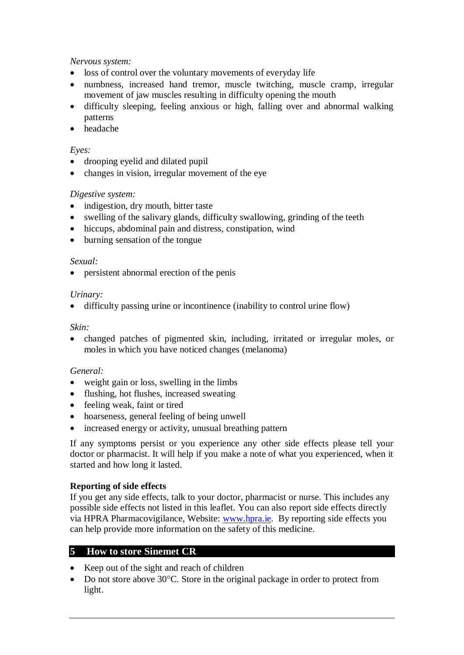# *Nervous system:*

- loss of control over the voluntary movements of everyday life
- numbness, increased hand tremor, muscle twitching, muscle cramp, irregular movement of jaw muscles resulting in difficulty opening the mouth
- difficulty sleeping, feeling anxious or high, falling over and abnormal walking patterns
- headache

### *Eyes:*

- drooping eyelid and dilated pupil
- changes in vision, irregular movement of the eye

### *Digestive system:*

- indigestion, dry mouth, bitter taste
- swelling of the salivary glands, difficulty swallowing, grinding of the teeth
- hiccups, abdominal pain and distress, constipation, wind
- burning sensation of the tongue

#### *Sexual:*

persistent abnormal erection of the penis

#### *Urinary:*

difficulty passing urine or incontinence (inability to control urine flow)

#### *Skin:*

 changed patches of pigmented skin, including, irritated or irregular moles, or moles in which you have noticed changes (melanoma)

#### *General:*

- weight gain or loss, swelling in the limbs
- flushing, hot flushes, increased sweating
- feeling weak, faint or tired
- hoarseness, general feeling of being unwell
- increased energy or activity, unusual breathing pattern

If any symptoms persist or you experience any other side effects please tell your doctor or pharmacist. It will help if you make a note of what you experienced, when it started and how long it lasted.

# **Reporting of side effects**

If you get any side effects, talk to your doctor, pharmacist or nurse. This includes any possible side effects not listed in this leaflet. You can also report side effects directly via HPRA Pharmacovigilance, Website: [www.hpra.ie.](http://www.hpra.ie/) By reporting side effects you can help provide more information on the safety of this medicine.

# **5 How to store Sinemet CR**

- Keep out of the sight and reach of children
- $\bullet$  Do not store above 30°C. Store in the original package in order to protect from light.